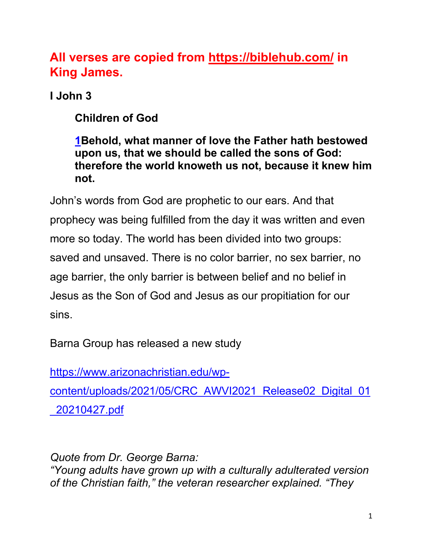# **All verses are copied from https://biblehub.com/ in King James.**

**I John 3**

**Children of God**

**1Behold, what manner of love the Father hath bestowed upon us, that we should be called the sons of God: therefore the world knoweth us not, because it knew him not.**

John's words from God are prophetic to our ears. And that prophecy was being fulfilled from the day it was written and even more so today. The world has been divided into two groups: saved and unsaved. There is no color barrier, no sex barrier, no age barrier, the only barrier is between belief and no belief in Jesus as the Son of God and Jesus as our propitiation for our sins.

Barna Group has released a new study

https://www.arizonachristian.edu/wp-

content/uploads/2021/05/CRC\_AWVI2021\_Release02\_Digital\_01 \_20210427.pdf

*Quote from Dr. George Barna: "Young adults have grown up with a culturally adulterated version of the Christian faith," the veteran researcher explained. "They*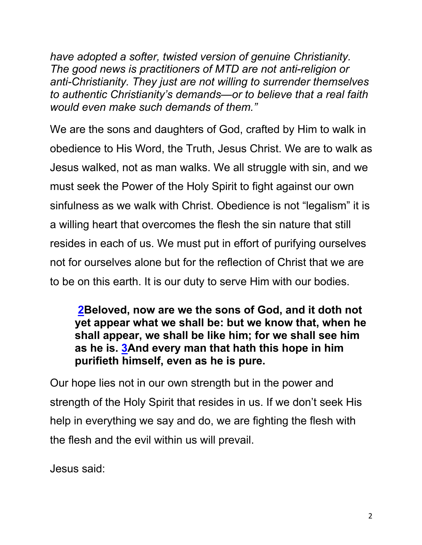*have adopted a softer, twisted version of genuine Christianity. The good news is practitioners of MTD are not anti-religion or anti-Christianity. They just are not willing to surrender themselves to authentic Christianity's demands—or to believe that a real faith would even make such demands of them."*

We are the sons and daughters of God, crafted by Him to walk in obedience to His Word, the Truth, Jesus Christ. We are to walk as Jesus walked, not as man walks. We all struggle with sin, and we must seek the Power of the Holy Spirit to fight against our own sinfulness as we walk with Christ. Obedience is not "legalism" it is a willing heart that overcomes the flesh the sin nature that still resides in each of us. We must put in effort of purifying ourselves not for ourselves alone but for the reflection of Christ that we are to be on this earth. It is our duty to serve Him with our bodies.

#### **2Beloved, now are we the sons of God, and it doth not yet appear what we shall be: but we know that, when he shall appear, we shall be like him; for we shall see him as he is. 3And every man that hath this hope in him purifieth himself, even as he is pure.**

Our hope lies not in our own strength but in the power and strength of the Holy Spirit that resides in us. If we don't seek His help in everything we say and do, we are fighting the flesh with the flesh and the evil within us will prevail.

Jesus said: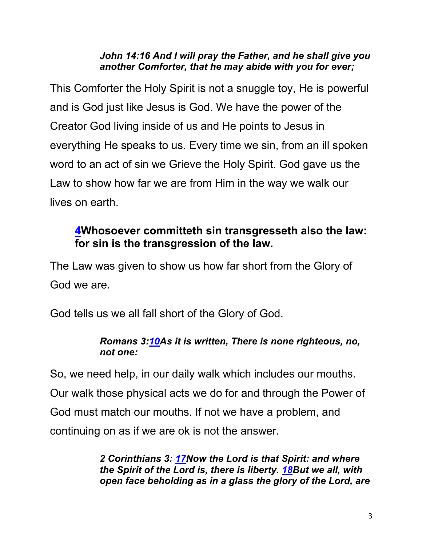#### *John 14:16 And I will pray the Father, and he shall give you another Comforter, that he may abide with you for ever;*

This Comforter the Holy Spirit is not a snuggle toy, He is powerful and is God just like Jesus is God. We have the power of the Creator God living inside of us and He points to Jesus in everything He speaks to us. Every time we sin, from an ill spoken word to an act of sin we Grieve the Holy Spirit. God gave us the Law to show how far we are from Him in the way we walk our lives on earth.

### **4Whosoever committeth sin transgresseth also the law: for sin is the transgression of the law.**

The Law was given to show us how far short from the Glory of God we are.

God tells us we all fall short of the Glory of God.

#### *Romans 3:10As it is written, There is none righteous, no, not one:*

So, we need help, in our daily walk which includes our mouths. Our walk those physical acts we do for and through the Power of God must match our mouths. If not we have a problem, and continuing on as if we are ok is not the answer.

> *2 Corinthians 3: 17Now the Lord is that Spirit: and where the Spirit of the Lord is, there is liberty. 18But we all, with open face beholding as in a glass the glory of the Lord, are*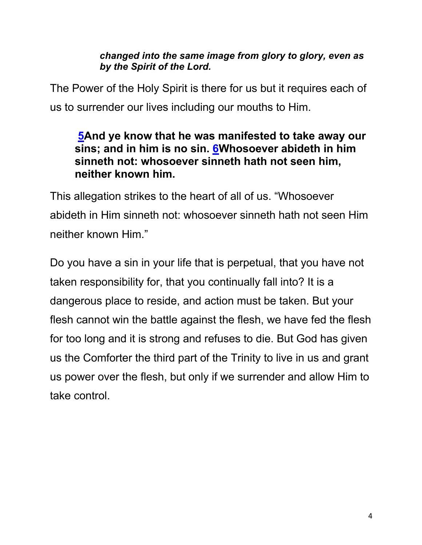#### *changed into the same image from glory to glory, even as by the Spirit of the Lord.*

The Power of the Holy Spirit is there for us but it requires each of us to surrender our lives including our mouths to Him.

#### **5And ye know that he was manifested to take away our sins; and in him is no sin. 6Whosoever abideth in him sinneth not: whosoever sinneth hath not seen him, neither known him.**

This allegation strikes to the heart of all of us. "Whosoever abideth in Him sinneth not: whosoever sinneth hath not seen Him neither known Him."

Do you have a sin in your life that is perpetual, that you have not taken responsibility for, that you continually fall into? It is a dangerous place to reside, and action must be taken. But your flesh cannot win the battle against the flesh, we have fed the flesh for too long and it is strong and refuses to die. But God has given us the Comforter the third part of the Trinity to live in us and grant us power over the flesh, but only if we surrender and allow Him to take control.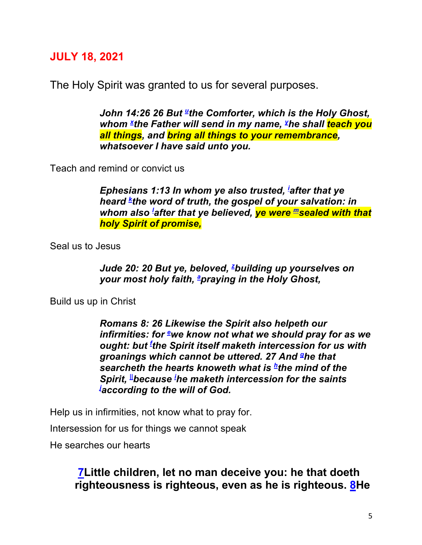#### **JULY 18, 2021**

The Holy Spirit was granted to us for several purposes.

*John 14:26 26 But* the Comforter, which is the Holy Ghost, whom <sup>x</sup>the Father will send in my name, <sup>y</sup>he shall <mark>teach you</mark> *all things, and bring all things to your remembrance, whatsoever I have said unto you.* 

Teach and remind or convict us

*Ephesians 1:13 In whom ye also trusted, i after that ye heard k the word of truth, the gospel of your salvation: in whom also l after that ye believed, ye were msealed with that holy Spirit of promise,*

Seal us to Jesus

Jude 20: 20 But ye, beloved, <sup>z</sup>building up yourselves on *your most holy faith, a praying in the Holy Ghost,* 

Build us up in Christ

*Romans 8: 26 Likewise the Spirit also helpeth our infirmities: for* e we know not what we should pray for as we *ought: but f the Spirit itself maketh intercession for us with groanings which cannot be uttered. 27 And ghe that searcheth the hearts knoweth what is <sup>h</sup>the mind of the Spirit, ||because i he maketh intercession for the saints j according to the will of God.* 

Help us in infirmities, not know what to pray for.

Intersession for us for things we cannot speak

He searches our hearts

**7Little children, let no man deceive you: he that doeth righteousness is righteous, even as he is righteous. 8He**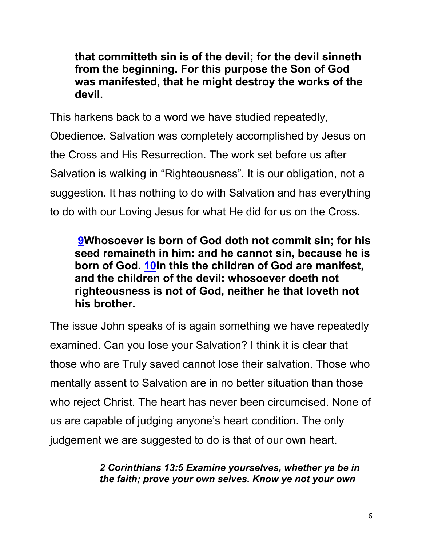**that committeth sin is of the devil; for the devil sinneth from the beginning. For this purpose the Son of God was manifested, that he might destroy the works of the devil.**

This harkens back to a word we have studied repeatedly, Obedience. Salvation was completely accomplished by Jesus on the Cross and His Resurrection. The work set before us after Salvation is walking in "Righteousness". It is our obligation, not a suggestion. It has nothing to do with Salvation and has everything to do with our Loving Jesus for what He did for us on the Cross.

**9Whosoever is born of God doth not commit sin; for his seed remaineth in him: and he cannot sin, because he is born of God. 10In this the children of God are manifest, and the children of the devil: whosoever doeth not righteousness is not of God, neither he that loveth not his brother.**

The issue John speaks of is again something we have repeatedly examined. Can you lose your Salvation? I think it is clear that those who are Truly saved cannot lose their salvation. Those who mentally assent to Salvation are in no better situation than those who reject Christ. The heart has never been circumcised. None of us are capable of judging anyone's heart condition. The only judgement we are suggested to do is that of our own heart.

> *2 Corinthians 13:5 Examine yourselves, whether ye be in the faith; prove your own selves. Know ye not your own*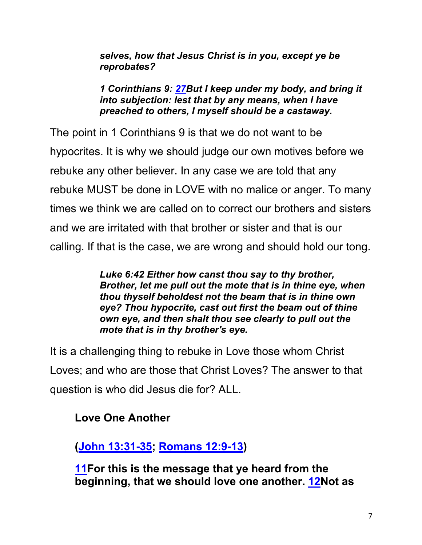*selves, how that Jesus Christ is in you, except ye be reprobates?*

*1 Corinthians 9: 27But I keep under my body, and bring it into subjection: lest that by any means, when I have preached to others, I myself should be a castaway.*

The point in 1 Corinthians 9 is that we do not want to be hypocrites. It is why we should judge our own motives before we rebuke any other believer. In any case we are told that any rebuke MUST be done in LOVE with no malice or anger. To many times we think we are called on to correct our brothers and sisters and we are irritated with that brother or sister and that is our calling. If that is the case, we are wrong and should hold our tong.

> *Luke 6:42 Either how canst thou say to thy brother, Brother, let me pull out the mote that is in thine eye, when thou thyself beholdest not the beam that is in thine own eye? Thou hypocrite, cast out first the beam out of thine own eye, and then shalt thou see clearly to pull out the mote that is in thy brother's eye.*

It is a challenging thing to rebuke in Love those whom Christ Loves; and who are those that Christ Loves? The answer to that question is who did Jesus die for? ALL.

**Love One Another**

**(John 13:31-35; Romans 12:9-13)**

**11For this is the message that ye heard from the beginning, that we should love one another. 12Not as**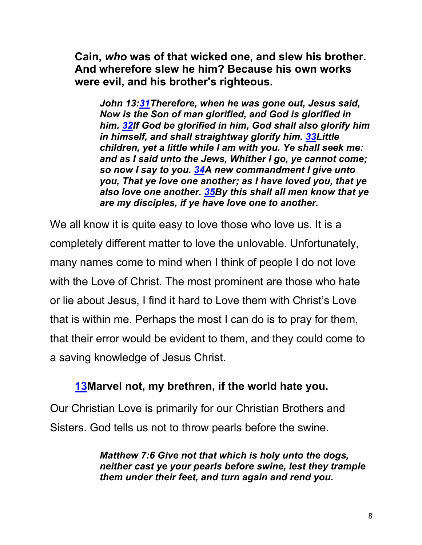**Cain,** *who* **was of that wicked one, and slew his brother. And wherefore slew he him? Because his own works were evil, and his brother's righteous.**

*John 13:31Therefore, when he was gone out, Jesus said, Now is the Son of man glorified, and God is glorified in him. 32If God be glorified in him, God shall also glorify him in himself, and shall straightway glorify him. 33Little children, yet a little while I am with you. Ye shall seek me: and as I said unto the Jews, Whither I go, ye cannot come; so now I say to you. 34A new commandment I give unto you, That ye love one another; as I have loved you, that ye also love one another. 35By this shall all men know that ye are my disciples, if ye have love one to another.*

We all know it is quite easy to love those who love us. It is a completely different matter to love the unlovable. Unfortunately, many names come to mind when I think of people I do not love with the Love of Christ. The most prominent are those who hate or lie about Jesus, I find it hard to Love them with Christ's Love that is within me. Perhaps the most I can do is to pray for them, that their error would be evident to them, and they could come to a saving knowledge of Jesus Christ.

#### **13Marvel not, my brethren, if the world hate you.**

Our Christian Love is primarily for our Christian Brothers and Sisters. God tells us not to throw pearls before the swine.

> *Matthew 7:6 Give not that which is holy unto the dogs, neither cast ye your pearls before swine, lest they trample them under their feet, and turn again and rend you.*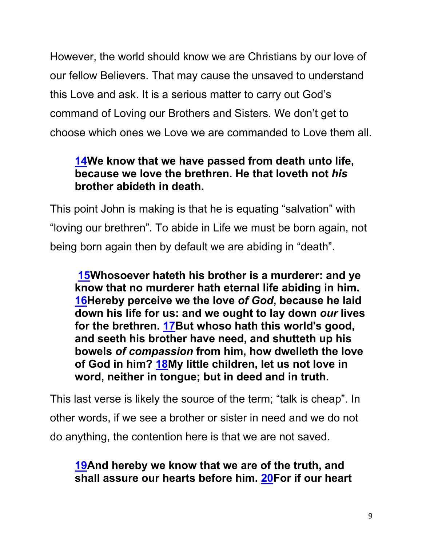However, the world should know we are Christians by our love of our fellow Believers. That may cause the unsaved to understand this Love and ask. It is a serious matter to carry out God's command of Loving our Brothers and Sisters. We don't get to choose which ones we Love we are commanded to Love them all.

### **14We know that we have passed from death unto life, because we love the brethren. He that loveth not** *his* **brother abideth in death.**

This point John is making is that he is equating "salvation" with "loving our brethren". To abide in Life we must be born again, not being born again then by default we are abiding in "death".

**15Whosoever hateth his brother is a murderer: and ye know that no murderer hath eternal life abiding in him. 16Hereby perceive we the love** *of God***, because he laid down his life for us: and we ought to lay down** *our* **lives for the brethren. 17But whoso hath this world's good, and seeth his brother have need, and shutteth up his bowels** *of compassion* **from him, how dwelleth the love of God in him? 18My little children, let us not love in word, neither in tongue; but in deed and in truth.** 

This last verse is likely the source of the term; "talk is cheap". In other words, if we see a brother or sister in need and we do not do anything, the contention here is that we are not saved.

### **19And hereby we know that we are of the truth, and shall assure our hearts before him. 20For if our heart**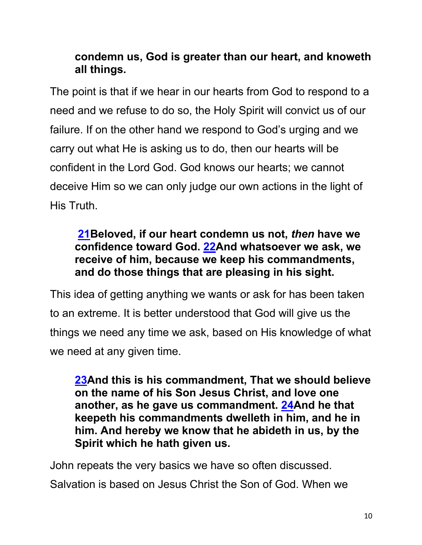### **condemn us, God is greater than our heart, and knoweth all things.**

The point is that if we hear in our hearts from God to respond to a need and we refuse to do so, the Holy Spirit will convict us of our failure. If on the other hand we respond to God's urging and we carry out what He is asking us to do, then our hearts will be confident in the Lord God. God knows our hearts; we cannot deceive Him so we can only judge our own actions in the light of His Truth.

### **21Beloved, if our heart condemn us not,** *then* **have we confidence toward God. 22And whatsoever we ask, we receive of him, because we keep his commandments, and do those things that are pleasing in his sight.**

This idea of getting anything we wants or ask for has been taken to an extreme. It is better understood that God will give us the things we need any time we ask, based on His knowledge of what we need at any given time.

**23And this is his commandment, That we should believe on the name of his Son Jesus Christ, and love one another, as he gave us commandment. 24And he that keepeth his commandments dwelleth in him, and he in him. And hereby we know that he abideth in us, by the Spirit which he hath given us.**

John repeats the very basics we have so often discussed. Salvation is based on Jesus Christ the Son of God. When we